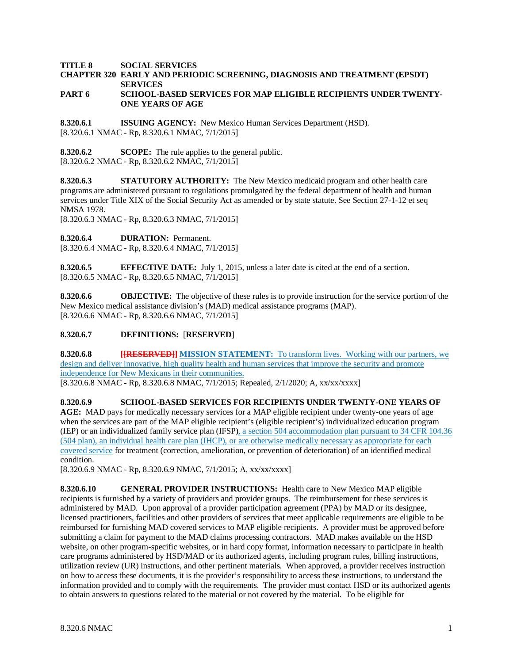**TITLE 8 SOCIAL SERVICES**

### **CHAPTER 320 EARLY AND PERIODIC SCREENING, DIAGNOSIS AND TREATMENT (EPSDT) SERVICES**

#### **PART 6 SCHOOL-BASED SERVICES FOR MAP ELIGIBLE RECIPIENTS UNDER TWENTY-ONE YEARS OF AGE**

**8.320.6.1 ISSUING AGENCY:** New Mexico Human Services Department (HSD). [8.320.6.1 NMAC - Rp, 8.320.6.1 NMAC, 7/1/2015]

**8.320.6.2 SCOPE:** The rule applies to the general public. [8.320.6.2 NMAC - Rp, 8.320.6.2 NMAC, 7/1/2015]

**8.320.6.3 STATUTORY AUTHORITY:** The New Mexico medicaid program and other health care programs are administered pursuant to regulations promulgated by the federal department of health and human services under Title XIX of the Social Security Act as amended or by state statute. See Section 27-1-12 et seq NMSA 1978.

[8.320.6.3 NMAC - Rp, 8.320.6.3 NMAC, 7/1/2015]

**8.320.6.4 DURATION:** Permanent.

[8.320.6.4 NMAC - Rp, 8.320.6.4 NMAC, 7/1/2015]

**8.320.6.5 EFFECTIVE DATE:** July 1, 2015, unless a later date is cited at the end of a section. [8.320.6.5 NMAC - Rp, 8.320.6.5 NMAC, 7/1/2015]

**8.320.6.6 OBJECTIVE:** The objective of these rules is to provide instruction for the service portion of the New Mexico medical assistance division's (MAD) medical assistance programs (MAP). [8.320.6.6 NMAC - Rp, 8.320.6.6 NMAC, 7/1/2015]

### **8.320.6.7 DEFINITIONS:** [**RESERVED**]

**8.320.6.8 [[RESERVED]] MISSION STATEMENT:** To transform lives. Working with our partners, we design and deliver innovative, high quality health and human services that improve the security and promote independence for New Mexicans in their communities.

[8.320.6.8 NMAC - Rp, 8.320.6.8 NMAC, 7/1/2015; Repealed, 2/1/2020; A, xx/xx/xxxx]

**8.320.6.9 SCHOOL-BASED SERVICES FOR RECIPIENTS UNDER TWENTY-ONE YEARS OF AGE:** MAD pays for medically necessary services for a MAP eligible recipient under twenty-one years of age when the services are part of the MAP eligible recipient's (eligible recipient's) individualized education program (IEP) or an individualized family service plan (IFSP), a section 504 accommodation plan pursuant to 34 CFR 104.36 (504 plan), an individual health care plan (IHCP), or are otherwise medically necessary as appropriate for each covered service for treatment (correction, amelioration, or prevention of deterioration) of an identified medical condition.

[8.320.6.9 NMAC - Rp, 8.320.6.9 NMAC, 7/1/2015; A, xx/xx/xxxx]

**8.320.6.10 GENERAL PROVIDER INSTRUCTIONS:** Health care to New Mexico MAP eligible recipients is furnished by a variety of providers and provider groups. The reimbursement for these services is administered by MAD. Upon approval of a provider participation agreement (PPA) by MAD or its designee, licensed practitioners, facilities and other providers of services that meet applicable requirements are eligible to be reimbursed for furnishing MAD covered services to MAP eligible recipients. A provider must be approved before submitting a claim for payment to the MAD claims processing contractors. MAD makes available on the HSD website, on other program-specific websites, or in hard copy format, information necessary to participate in health care programs administered by HSD/MAD or its authorized agents, including program rules, billing instructions, utilization review (UR) instructions, and other pertinent materials. When approved, a provider receives instruction on how to access these documents, it is the provider's responsibility to access these instructions, to understand the information provided and to comply with the requirements. The provider must contact HSD or its authorized agents to obtain answers to questions related to the material or not covered by the material. To be eligible for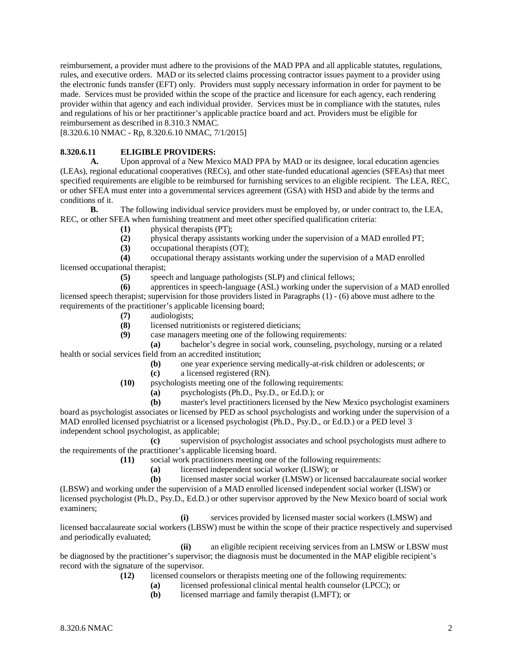reimbursement, a provider must adhere to the provisions of the MAD PPA and all applicable statutes, regulations, rules, and executive orders. MAD or its selected claims processing contractor issues payment to a provider using the electronic funds transfer (EFT) only. Providers must supply necessary information in order for payment to be made. Services must be provided within the scope of the practice and licensure for each agency, each rendering provider within that agency and each individual provider. Services must be in compliance with the statutes, rules and regulations of his or her practitioner's applicable practice board and act. Providers must be eligible for reimbursement as described in 8.310.3 NMAC.

[8.320.6.10 NMAC - Rp, 8.320.6.10 NMAC, 7/1/2015]

## **8.320.6.11 ELIGIBLE PROVIDERS:**

A. Upon approval of a New Mexico MAD PPA by MAD or its designee, local education agencies (LEAs), regional educational cooperatives (RECs), and other state-funded educational agencies (SFEAs) that meet specified requirements are eligible to be reimbursed for furnishing services to an eligible recipient. The LEA, REC, or other SFEA must enter into a governmental services agreement (GSA) with HSD and abide by the terms and conditions of it.

**B.** The following individual service providers must be employed by, or under contract to, the LEA, REC, or other SFEA when furnishing treatment and meet other specified qualification criteria:

- **(1)** physical therapists (PT);
- **(2)** physical therapy assistants working under the supervision of a MAD enrolled PT;
- **(3)** occupational therapists (OT);

**(4)** occupational therapy assistants working under the supervision of a MAD enrolled licensed occupational therapist;

**(5)** speech and language pathologists (SLP) and clinical fellows;

**(6)** apprentices in speech-language (ASL) working under the supervision of a MAD enrolled licensed speech therapist; supervision for those providers listed in Paragraphs (1) - (6) above must adhere to the requirements of the practitioner's applicable licensing board;

- **(7)** audiologists;
- **(8)** licensed nutritionists or registered dieticians;
- **(9)** case managers meeting one of the following requirements:

**(a)** bachelor's degree in social work, counseling, psychology, nursing or a related health or social services field from an accredited institution;

- **(b)** one year experience serving medically-at-risk children or adolescents; or
- **(c)** a licensed registered (RN).
- **(10)** psychologists meeting one of the following requirements:

**(a)** psychologists (Ph.D., Psy.D., or Ed.D.); or

**(b)** master's level practitioners licensed by the New Mexico psychologist examiners board as psychologist associates or licensed by PED as school psychologists and working under the supervision of a MAD enrolled licensed psychiatrist or a licensed psychologist (Ph.D., Psy.D., or Ed.D.) or a PED level 3 independent school psychologist, as applicable;

**(c)** supervision of psychologist associates and school psychologists must adhere to the requirements of the practitioner's applicable licensing board.

- **(11)** social work practitioners meeting one of the following requirements:
	- **(a)** licensed independent social worker (LISW); or

**(b)** licensed master social worker (LMSW) or licensed baccalaureate social worker (LBSW) and working under the supervision of a MAD enrolled licensed independent social worker (LISW) or licensed psychologist (Ph.D., Psy.D., Ed.D.) or other supervisor approved by the New Mexico board of social work examiners;

**(i)** services provided by licensed master social workers (LMSW) and licensed baccalaureate social workers (LBSW) must be within the scope of their practice respectively and supervised and periodically evaluated;

**(ii)** an eligible recipient receiving services from an LMSW or LBSW must be diagnosed by the practitioner's supervisor; the diagnosis must be documented in the MAP eligible recipient's record with the signature of the supervisor.

**(12)** licensed counselors or therapists meeting one of the following requirements:

- **(a)** licensed professional clinical mental health counselor (LPCC); or
- **(b)** licensed marriage and family therapist (LMFT); or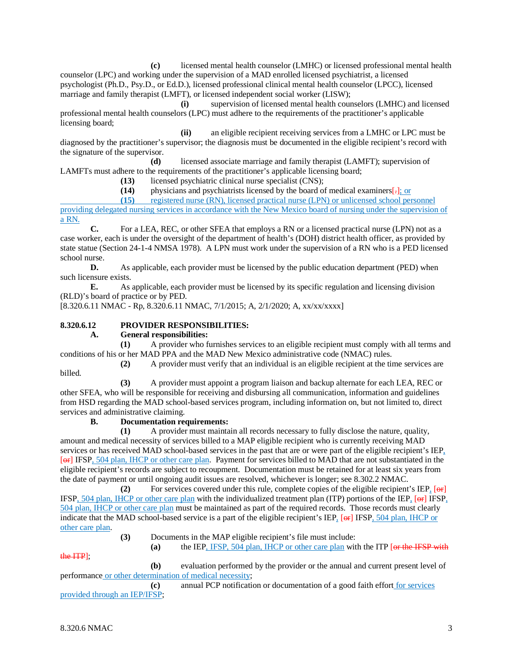**(c)** licensed mental health counselor (LMHC) or licensed professional mental health counselor (LPC) and working under the supervision of a MAD enrolled licensed psychiatrist, a licensed psychologist (Ph.D., Psy.D., or Ed.D.), licensed professional clinical mental health counselor (LPCC), licensed marriage and family therapist (LMFT), or licensed independent social worker (LISW);

**(i)** supervision of licensed mental health counselors (LMHC) and licensed professional mental health counselors (LPC) must adhere to the requirements of the practitioner's applicable licensing board;

**(ii)** an eligible recipient receiving services from a LMHC or LPC must be diagnosed by the practitioner's supervisor; the diagnosis must be documented in the eligible recipient's record with the signature of the supervisor.

**(d)** licensed associate marriage and family therapist (LAMFT); supervision of

LAMFTs must adhere to the requirements of the practitioner's applicable licensing board; **(13)** licensed psychiatric clinical nurse specialist (CNS);

(14) physicians and psychiatrists licensed by the board of medical examiners[-]; or registered nurse (RN), licensed practical nurse (LPN) or unlicensed school per registered nurse (RN), licensed practical nurse (LPN) or unlicensed school personnel

providing delegated nursing services in accordance with the New Mexico board of nursing under the supervision of a RN.

**C.** For a LEA, REC, or other SFEA that employs a RN or a licensed practical nurse (LPN) not as a case worker, each is under the oversight of the department of health's (DOH) district health officer, as provided by state statue (Section 24-1-4 NMSA 1978). A LPN must work under the supervision of a RN who is a PED licensed school nurse.

**D.** As applicable, each provider must be licensed by the public education department (PED) when such licensure exists.

**E.** As applicable, each provider must be licensed by its specific regulation and licensing division (RLD)'s board of practice or by PED.

[8.320.6.11 NMAC - Rp, 8.320.6.11 NMAC, 7/1/2015; A, 2/1/2020; A, xx/xx/xxxx]

# **8.320.6.12 PROVIDER RESPONSIBILITIES:**

### **A. General responsibilities:**

**(1)** A provider who furnishes services to an eligible recipient must comply with all terms and conditions of his or her MAD PPA and the MAD New Mexico administrative code (NMAC) rules.

billed.

**(2)** A provider must verify that an individual is an eligible recipient at the time services are

**(3)** A provider must appoint a program liaison and backup alternate for each LEA, REC or other SFEA, who will be responsible for receiving and disbursing all communication, information and guidelines from HSD regarding the MAD school-based services program, including information on, but not limited to, direct services and administrative claiming.

# **B. Documentation requirements:**

**(1)** A provider must maintain all records necessary to fully disclose the nature, quality, amount and medical necessity of services billed to a MAP eligible recipient who is currently receiving MAD services or has received MAD school-based services in the past that are or were part of the eligible recipient's IEP, [ $\leftrightarrow$ ] IFSP, 504 plan, IHCP or other care plan. Payment for services billed to MAD that are not substantiated in the eligible recipient's records are subject to recoupment. Documentation must be retained for at least six years from the date of payment or until ongoing audit issues are resolved, whichever is longer; see 8.302.2 NMAC.

(2) For services covered under this rule, complete copies of the eligible recipient's IEP, [ $\Theta$ F] IFSP, 504 plan, IHCP or other care plan with the individualized treatment plan (ITP) portions of the IEP, [or] IFSP, 504 plan, IHCP or other care plan must be maintained as part of the required records. Those records must clearly indicate that the MAD school-based service is a part of the eligible recipient's IEP, [ $\Theta$ F] IFSP, 504 plan, IHCP or other care plan.

**(3)** Documents in the MAP eligible recipient's file must include:

**(a)** the IEP, IFSP, 504 plan, IHCP or other care plan with the ITP [or the IFSP with

the ITP];

**(b)** evaluation performed by the provider or the annual and current present level of performance or other determination of medical necessity;

**(c)** annual PCP notification or documentation of a good faith effort for services provided through an IEP/IFSP;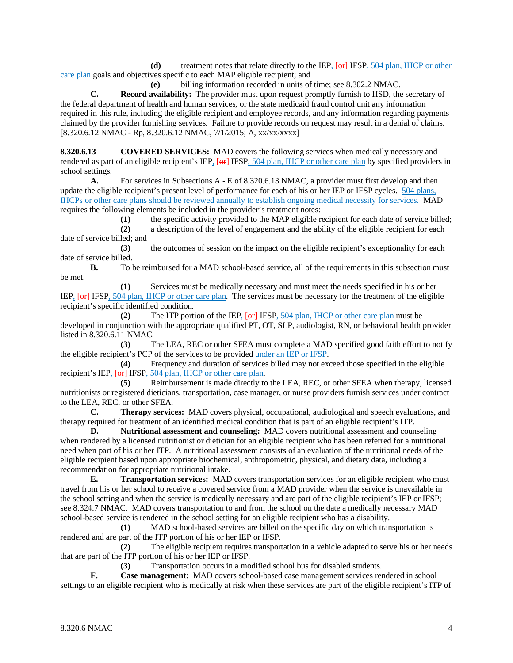**(d)** treatment notes that relate directly to the IEP,  $[**or**]$  IFSP, 504 plan, IHCP or other care plan goals and objectives specific to each MAP eligible recipient; and

**(e)** billing information recorded in units of time; see 8.302.2 NMAC.

**C. Record availability:** The provider must upon request promptly furnish to HSD, the secretary of the federal department of health and human services, or the state medicaid fraud control unit any information required in this rule, including the eligible recipient and employee records, and any information regarding payments claimed by the provider furnishing services. Failure to provide records on request may result in a denial of claims. [8.320.6.12 NMAC - Rp, 8.320.6.12 NMAC, 7/1/2015; A, xx/xx/xxxx]

**8.320.6.13 COVERED SERVICES:** MAD covers the following services when medically necessary and rendered as part of an eligible recipient's IEP,  $\overline{[\Theta_F]}$  IFSP, 504 plan, IHCP or other care plan by specified providers in school settings.

**A.** For services in Subsections A - E of 8.320.6.13 NMAC, a provider must first develop and then update the eligible recipient's present level of performance for each of his or her IEP or IFSP cycles. 504 plans, IHCPs or other care plans should be reviewed annually to establish ongoing medical necessity for services. MAD requires the following elements be included in the provider's treatment notes:

**(1)** the specific activity provided to the MAP eligible recipient for each date of service billed;

**(2)** a description of the level of engagement and the ability of the eligible recipient for each date of service billed; and

**(3)** the outcomes of session on the impact on the eligible recipient's exceptionality for each date of service billed.

**B.** To be reimbursed for a MAD school-based service, all of the requirements in this subsection must be met.

**(1)** Services must be medically necessary and must meet the needs specified in his or her IEP, [ $\Theta$ F] IFSP, 504 plan, IHCP or other care plan. The services must be necessary for the treatment of the eligible recipient's specific identified condition.

**(2)** The ITP portion of the IEP, [or] IFSP, 504 plan, IHCP or other care plan must be developed in conjunction with the appropriate qualified PT, OT, SLP, audiologist, RN, or behavioral health provider listed in 8.320.6.11 NMAC.

**(3)** The LEA, REC or other SFEA must complete a MAD specified good faith effort to notify the eligible recipient's PCP of the services to be provided under an IEP or IFSP.

**(4)** Frequency and duration of services billed may not exceed those specified in the eligible recipient's IEP, [ $\Theta$ F] IFSP, 504 plan, IHCP or other care plan.

**(5)** Reimbursement is made directly to the LEA, REC, or other SFEA when therapy, licensed nutritionists or registered dieticians, transportation, case manager, or nurse providers furnish services under contract to the LEA, REC, or other SFEA.

**C. Therapy services:** MAD covers physical, occupational, audiological and speech evaluations, and therapy required for treatment of an identified medical condition that is part of an eligible recipient's ITP.

**D. Nutritional assessment and counseling:** MAD covers nutritional assessment and counseling when rendered by a licensed nutritionist or dietician for an eligible recipient who has been referred for a nutritional need when part of his or her ITP. A nutritional assessment consists of an evaluation of the nutritional needs of the eligible recipient based upon appropriate biochemical, anthropometric, physical, and dietary data, including a recommendation for appropriate nutritional intake.

**E. Transportation services:** MAD covers transportation services for an eligible recipient who must travel from his or her school to receive a covered service from a MAD provider when the service is unavailable in the school setting and when the service is medically necessary and are part of the eligible recipient's IEP or IFSP; see 8.324.7 NMAC. MAD covers transportation to and from the school on the date a medically necessary MAD school-based service is rendered in the school setting for an eligible recipient who has a disability.

**(1)** MAD school-based services are billed on the specific day on which transportation is rendered and are part of the ITP portion of his or her IEP or IFSP.

**(2)** The eligible recipient requires transportation in a vehicle adapted to serve his or her needs that are part of the ITP portion of his or her IEP or IFSP.

**(3)** Transportation occurs in a modified school bus for disabled students.

**F. Case management:** MAD covers school-based case management services rendered in school settings to an eligible recipient who is medically at risk when these services are part of the eligible recipient's ITP of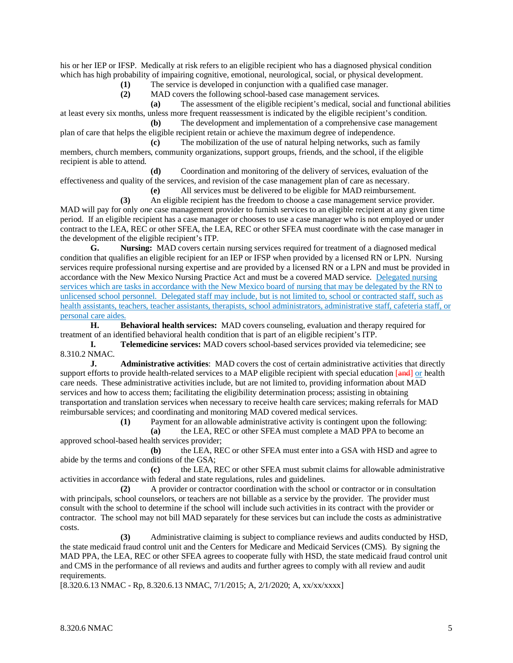his or her IEP or IFSP. Medically at risk refers to an eligible recipient who has a diagnosed physical condition which has high probability of impairing cognitive, emotional, neurological, social, or physical development.

**(1)** The service is developed in conjunction with a qualified case manager.

**(2)** MAD covers the following school-based case management services.

**(a)** The assessment of the eligible recipient's medical, social and functional abilities at least every six months, unless more frequent reassessment is indicated by the eligible recipient's condition.

**(b)** The development and implementation of a comprehensive case management plan of care that helps the eligible recipient retain or achieve the maximum degree of independence.

**(c)** The mobilization of the use of natural helping networks, such as family members, church members, community organizations, support groups, friends, and the school, if the eligible recipient is able to attend.

**(d)** Coordination and monitoring of the delivery of services, evaluation of the effectiveness and quality of the services, and revision of the case management plan of care as necessary.

**(e)** All services must be delivered to be eligible for MAD reimbursement.

**(3)** An eligible recipient has the freedom to choose a case management service provider. MAD will pay for only *one* case management provider to furnish services to an eligible recipient at any given time period. If an eligible recipient has a case manager or chooses to use a case manager who is not employed or under contract to the LEA, REC or other SFEA, the LEA, REC or other SFEA must coordinate with the case manager in the development of the eligible recipient's ITP.

**G. Nursing:** MAD covers certain nursing services required for treatment of a diagnosed medical condition that qualifies an eligible recipient for an IEP or IFSP when provided by a licensed RN or LPN. Nursing services require professional nursing expertise and are provided by a licensed RN or a LPN and must be provided in accordance with the New Mexico Nursing Practice Act and must be a covered MAD service. Delegated nursing services which are tasks in accordance with the New Mexico board of nursing that may be delegated by the RN to unlicensed school personnel. Delegated staff may include, but is not limited to, school or contracted staff, such as health assistants, teachers, teacher assistants, therapists, school administrators, administrative staff, cafeteria staff, or personal care aides.

**H. Behavioral health services:** MAD covers counseling, evaluation and therapy required for treatment of an identified behavioral health condition that is part of an eligible recipient's ITP.

**I. Telemedicine services:** MAD covers school-based services provided via telemedicine; see 8.310.2 NMAC.

**J. Administrative activities**: MAD covers the cost of certain administrative activities that directly support efforts to provide health-related services to a MAP eligible recipient with special education [and] or health care needs. These administrative activities include, but are not limited to, providing information about MAD services and how to access them; facilitating the eligibility determination process; assisting in obtaining transportation and translation services when necessary to receive health care services; making referrals for MAD reimbursable services; and coordinating and monitoring MAD covered medical services.

**(1)** Payment for an allowable administrative activity is contingent upon the following:

**(a)** the LEA, REC or other SFEA must complete a MAD PPA to become an approved school-based health services provider;

**(b)** the LEA, REC or other SFEA must enter into a GSA with HSD and agree to abide by the terms and conditions of the GSA;

**(c)** the LEA, REC or other SFEA must submit claims for allowable administrative activities in accordance with federal and state regulations, rules and guidelines.

**(2)** A provider or contractor coordination with the school or contractor or in consultation with principals, school counselors, or teachers are not billable as a service by the provider. The provider must consult with the school to determine if the school will include such activities in its contract with the provider or contractor. The school may not bill MAD separately for these services but can include the costs as administrative costs.

**(3)** Administrative claiming is subject to compliance reviews and audits conducted by HSD, the state medicaid fraud control unit and the Centers for Medicare and Medicaid Services (CMS). By signing the MAD PPA, the LEA, REC or other SFEA agrees to cooperate fully with HSD, the state medicaid fraud control unit and CMS in the performance of all reviews and audits and further agrees to comply with all review and audit requirements.

[8.320.6.13 NMAC - Rp, 8.320.6.13 NMAC, 7/1/2015; A, 2/1/2020; A, xx/xx/xxxx]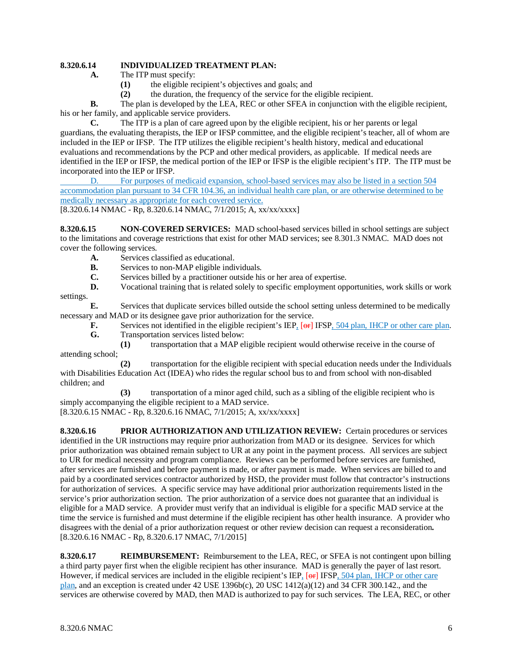## **8.320.6.14 INDIVIDUALIZED TREATMENT PLAN:**

- **A.** The ITP must specify:<br>(1) the eligible re
	- **(1)** the eligible recipient's objectives and goals; and
	- **(2)** the duration, the frequency of the service for the eligible recipient.

**B.** The plan is developed by the LEA, REC or other SFEA in conjunction with the eligible recipient, his or her family, and applicable service providers.

**C.** The ITP is a plan of care agreed upon by the eligible recipient, his or her parents or legal guardians, the evaluating therapists, the IEP or IFSP committee, and the eligible recipient's teacher, all of whom are included in the IEP or IFSP. The ITP utilizes the eligible recipient's health history, medical and educational evaluations and recommendations by the PCP and other medical providers, as applicable. If medical needs are identified in the IEP or IFSP, the medical portion of the IEP or IFSP is the eligible recipient's ITP. The ITP must be incorporated into the IEP or IFSP.

D. For purposes of medicaid expansion, school-based services may also be listed in a section 504 accommodation plan pursuant to 34 CFR 104.36, an individual health care plan, or are otherwise determined to be medically necessary as appropriate for each covered service.

[8.320.6.14 NMAC - Rp, 8.320.6.14 NMAC, 7/1/2015; A, xx/xx/xxxx]

**8.320.6.15 NON-COVERED SERVICES:** MAD school-based services billed in school settings are subject to the limitations and coverage restrictions that exist for other MAD services; see 8.301.3 NMAC. MAD does not cover the following services.

- **A.** Services classified as educational.<br>**B.** Services to non-MAP eligible indi-
- **B.** Services to non-MAP eligible individuals.
- **C.** Services billed by a practitioner outside his or her area of expertise.
- **D.** Vocational training that is related solely to specific employment opportunities, work skills or work settings.

**E.** Services that duplicate services billed outside the school setting unless determined to be medically necessary and MAD or its designee gave prior authorization for the service.

**F.** Services not identified in the eligible recipient's IEP, [ $\Theta$ F] IFSP, 504 plan, IHCP or other care plan. **G.** Transportation services listed below:

**(1)** transportation that a MAP eligible recipient would otherwise receive in the course of attending school;

**(2)** transportation for the eligible recipient with special education needs under the Individuals with Disabilities Education Act (IDEA) who rides the regular school bus to and from school with non-disabled children; and

**(3)** transportation of a minor aged child, such as a sibling of the eligible recipient who is simply accompanying the eligible recipient to a MAD service.

[8.320.6.15 NMAC - Rp, 8.320.6.16 NMAC, 7/1/2015; A, xx/xx/xxxx]

**8.320.6.16 PRIOR AUTHORIZATION AND UTILIZATION REVIEW:** Certain procedures or services identified in the UR instructions may require prior authorization from MAD or its designee. Services for which prior authorization was obtained remain subject to UR at any point in the payment process. All services are subject to UR for medical necessity and program compliance. Reviews can be performed before services are furnished, after services are furnished and before payment is made, or after payment is made.When services are billed to and paid by a coordinated services contractor authorized by HSD, the provider must follow that contractor's instructions for authorization of services. A specific service may have additional prior authorization requirements listed in the service's prior authorization section. The prior authorization of a service does not guarantee that an individual is eligible for a MAD service. A provider must verify that an individual is eligible for a specific MAD service at the time the service is furnished and must determine if the eligible recipient has other health insurance. A provider who disagrees with the denial of a prior authorization request or other review decision can request a reconsideration**.** [8.320.6.16 NMAC - Rp, 8.320.6.17 NMAC, 7/1/2015]

**8.320.6.17 REIMBURSEMENT:** Reimbursement to the LEA, REC, or SFEA is not contingent upon billing a third party payer first when the eligible recipient has other insurance. MAD is generally the payer of last resort. However, if medical services are included in the eligible recipient's IEP, [ $\Theta$ r] IFSP, 504 plan, IHCP or other care plan, and an exception is created under 42 USE 1396b(c),  $20$  USC 1412(a)(12) and 34 CFR 300.142., and the services are otherwise covered by MAD, then MAD is authorized to pay for such services. The LEA, REC, or other